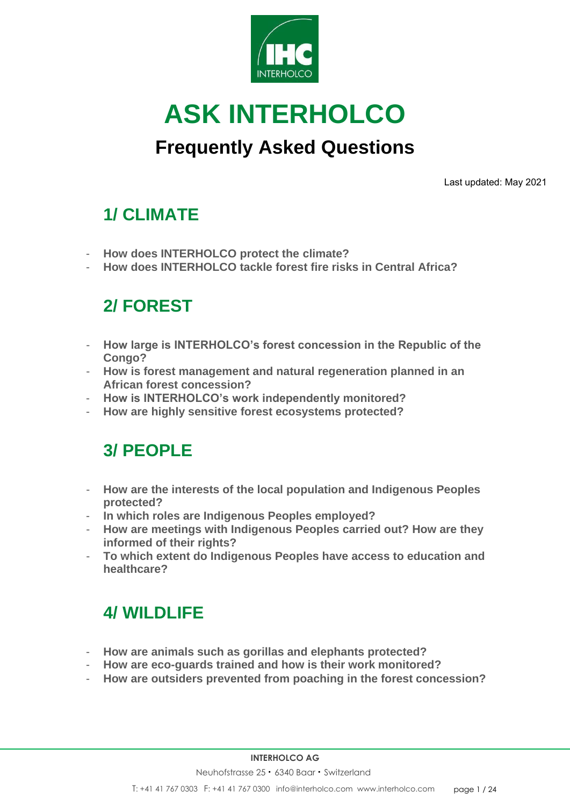

# **ASK INTERHOLCO**

# **Frequently Asked Questions**

Last updated: May 2021

# **[1/ CLIMATE](#page-1-0)**

- **[How does INTERHOLCO protect the](#page-1-0) climate?**
- **[How does INTERHOLCO tackle forest fire risks in Central Africa?](#page-3-0)**

# **[2/ FOREST](#page-5-0)**

- **[How large is INTERHOLCO's forest concession in the Republic of the](#page-5-0) Congo?**
- **[How is forest management and natural regeneration planned in an](#page-6-0) African forest concession?**
- **[How is INTERHOLCO's work independently](#page-8-0) monitored?**
- **[How are highly sensitive forest ecosystems protected?](#page-10-0)**

# **[3/ PEOPLE](#page-11-0)**

- **[How are the interests of the local population and Indigenous Peoples](#page-11-0) protected?**
- **[In which roles are Indigenous Peoples](#page-14-0) employed?**
- **[How are meetings with Indigenous Peoples carried out? How are they](#page-15-0) informed of their rights?**
- **[To which extent do Indigenous Peoples have access to education and](#page-18-0) healthcare?**

# **[4/ WILDLIFE](#page-20-0)**

- **[How are animals such as gorillas and elephants protected?](#page-20-0)**
- **[How are eco-guards trained and how is their work](#page-21-0) monitored?**
- **[How are outsiders prevented from poaching in the forest](#page-23-0) concession?**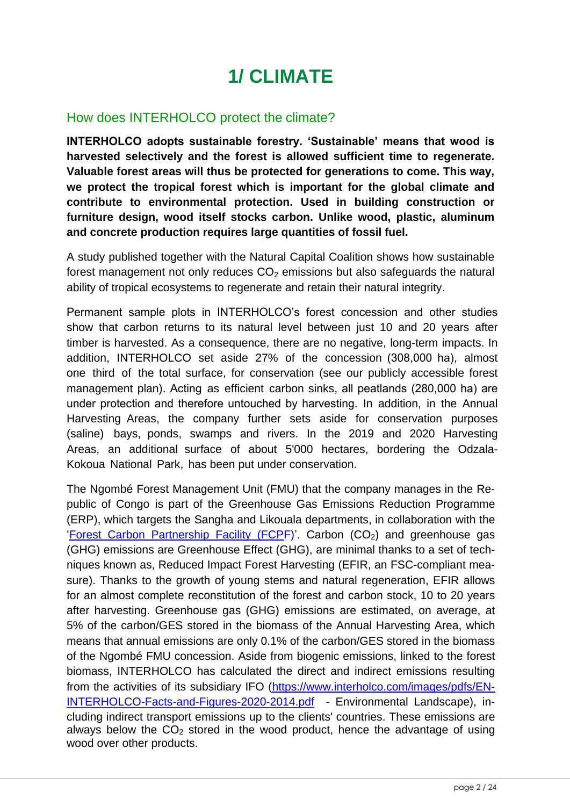# **1/ CLIMATE**

## <span id="page-1-0"></span>How does INTERHOLCO protect the climate?

**INTERHOLCO adopts sustainable forestry. 'Sustainable' means that wood is harvested selectively and the forest is allowed sufficient time to regenerate. Valuable forest areas will thus be protected for generations to come. This way, we protect the tropical forest which is important for the global climate and contribute to environmental protection. Used in building construction or furniture design, wood itself stocks carbon. Unlike wood, plastic, aluminum and concrete production requires large quantities of fossil fuel.**

A study published together with the Natural Capital Coalition shows how sustainable forest management not only reduces  $CO<sub>2</sub>$  emissions but also safeguards the natural ability of tropical ecosystems to regenerate and retain their natural integrity.

Permanent sample plots in INTERHOLCO's forest concession and other studies show that carbon returns to its natural level between just 10 and 20 years after timber is harvested. As a consequence, there are no negative, long-term impacts. In addition, INTERHOLCO set aside 27% of the concession (308,000 ha), almost one third of the total surface, for conservation (see our publicly accessible forest management plan). Acting as efficient carbon sinks, all peatlands (280,000 ha) are under protection and therefore untouched by harvesting. In addition, in the Annual Harvesting Areas, the company further sets aside for conservation purposes (saline) bays, ponds, swamps and rivers. In the 2019 and 2020 Harvesting Areas, an additional surface of about 5'000 hectares, bordering the Odzala-Kokoua National Park, has been put under conservation.

The Ngombé Forest Management Unit (FMU) that the company manages in the Republic of Congo is part of the Greenhouse Gas Emissions Reduction Programme (ERP), which targets the Sangha and Likouala departments, in collaboration with the ['Forest Carbon Partnership Facility \(FCPF\)'](https://www.forestcarbonpartnership.org/system/files/documents/Final ERPD revised 18 Dec 2017 Eng.pdf). Carbon  $(CO<sub>2</sub>)$  and greenhouse gas (GHG) emissions are Greenhouse Effect (GHG), are minimal thanks to a set of techniques known as, Reduced Impact Forest Harvesting (EFIR, an FSC-compliant measure). Thanks to the growth of young stems and natural regeneration, EFIR allows for an almost complete reconstitution of the forest and carbon stock, 10 to 20 years after harvesting. Greenhouse gas (GHG) emissions are estimated, on average, at 5% of the carbon/GES stored in the biomass of the Annual Harvesting Area, which means that annual emissions are only 0.1% of the carbon/GES stored in the biomass of the Ngombé FMU concession. Aside from biogenic emissions, linked to the forest biomass, INTERHOLCO has calculated the direct and indirect emissions resulting from the activities of its subsidiary IFO [\(https://www.interholco.com/images/pdfs/EN-](https://www.interholco.com/images/pdfs/EN-INTERHOLCO-Facts-and-Figures-2020-2014.pdf)[INTERHOLCO-Facts-and-Figures-2020-2014.pdf](https://www.interholco.com/images/pdfs/EN-INTERHOLCO-Facts-and-Figures-2020-2014.pdf) - Environmental Landscape), including indirect transport emissions up to the clients' countries. These emissions are always below the  $CO<sub>2</sub>$  stored in the wood product, hence the advantage of using wood over other products.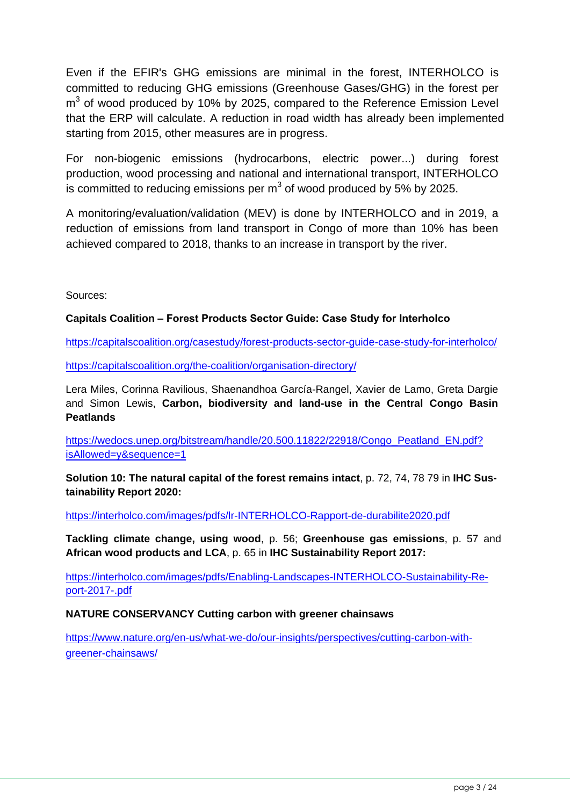Even if the EFIR's GHG emissions are minimal in the forest, INTERHOLCO is committed to reducing GHG emissions (Greenhouse Gases/GHG) in the forest per m<sup>3</sup> of wood produced by 10% by 2025, compared to the Reference Emission Level that the ERP will calculate. A reduction in road width has already been implemented starting from 2015, other measures are in progress.

For non-biogenic emissions (hydrocarbons, electric power...) during forest production, wood processing and national and international transport, INTERHOLCO is committed to reducing emissions per m<sup>3</sup> of wood produced by 5% by 2025.

A monitoring/evaluation/validation (MEV) is done by INTERHOLCO and in 2019, a reduction of emissions from land transport in Congo of more than 10% has been achieved compared to 2018, thanks to an increase in transport by the river.

Sources:

**Capitals Coalition – Forest Products Sector Guide: Case Study for Interholco**

<https://capitalscoalition.org/casestudy/forest-products-sector-guide-case-study-for-interholco/>

<https://capitalscoalition.org/the-coalition/organisation-directory/>

Lera Miles, Corinna Ravilious, Shaenandhoa García-Rangel, Xavier de Lamo, Greta Dargie and Simon Lewis, **Carbon, biodiversity and land-use in the Central Congo Basin Peatlands**

[https://wedocs.unep.org/bitstream/handle/20.500.11822/22918/Congo\\_Peatland\\_EN.pdf?](https://wedocs.unep.org/bitstream/handle/20.500.11822/22918/Congo_Peatland_EN.pdf?isAllowed=y&sequence=1) [isAllowed=y&sequence=1](https://wedocs.unep.org/bitstream/handle/20.500.11822/22918/Congo_Peatland_EN.pdf?isAllowed=y&sequence=1)

**Solution 10: The natural capital of the forest remains intact**, p. 72, 74, 78 79 in **IHC Sustainability Report 2020:**

<https://interholco.com/images/pdfs/lr-INTERHOLCO-Rapport-de-durabilite2020.pdf>

**Tackling climate change, using wood**, p. 56; **Greenhouse gas emissions**, p. 57 and **African wood products and LCA**, p. 65 in **IHC Sustainability Report 2017:**

[https://interholco.com/images/pdfs/Enabling-Landscapes-INTERHOLCO-Sustainability-Re](https://interholco.com/images/pdfs/Enabling-Landscapes-INTERHOLCO-Sustainability-Report-2017-.pdf)[port-2017-.pdf](https://interholco.com/images/pdfs/Enabling-Landscapes-INTERHOLCO-Sustainability-Report-2017-.pdf)

**NATURE CONSERVANCY Cutting carbon with greener chainsaws**

[https://www.nature.org/en-us/what-we-do/our-insights/perspectives/cutting-carbon-with](https://www.nature.org/en-us/what-we-do/our-insights/perspectives/cutting-carbon-with-greener-chainsaws/)[greener-chainsaws/](https://www.nature.org/en-us/what-we-do/our-insights/perspectives/cutting-carbon-with-greener-chainsaws/)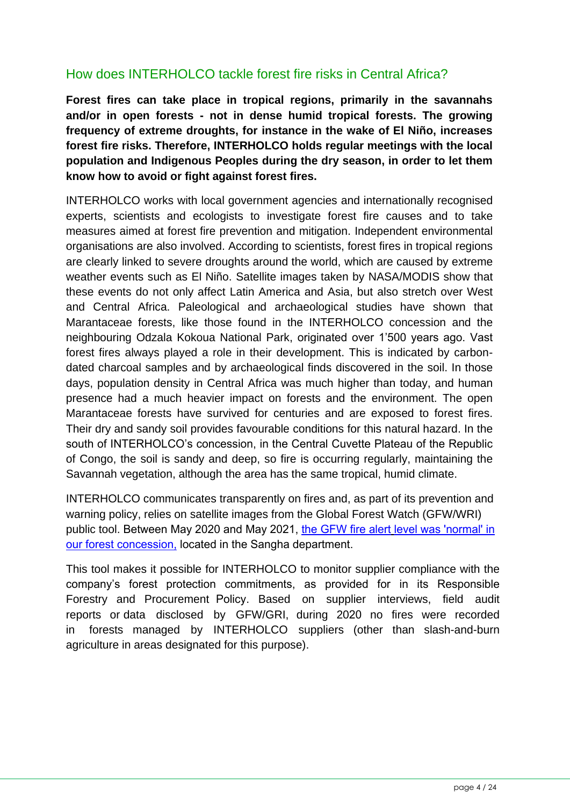# <span id="page-3-0"></span>How does INTERHOLCO tackle forest fire risks in Central Africa?

**Forest fires can take place in tropical regions, primarily in the savannahs and/or in open forests - not in dense humid tropical forests. The growing frequency of extreme droughts, for instance in the wake of El Niño, increases forest fire risks. Therefore, INTERHOLCO holds regular meetings with the local population and Indigenous Peoples during the dry season, in order to let them know how to avoid or fight against forest fires.**

INTERHOLCO works with local government agencies and internationally recognised experts, scientists and ecologists to investigate forest fire causes and to take measures aimed at forest fire prevention and mitigation. Independent environmental organisations are also involved. According to scientists, forest fires in tropical regions are clearly linked to severe droughts around the world, which are caused by extreme weather events such as El Niño. Satellite images taken by NASA/MODIS show that these events do not only affect Latin America and Asia, but also stretch over West and Central Africa. Paleological and archaeological studies have shown that Marantaceae forests, like those found in the INTERHOLCO concession and the neighbouring Odzala Kokoua National Park, originated over 1'500 years ago. Vast forest fires always played a role in their development. This is indicated by carbondated charcoal samples and by archaeological finds discovered in the soil. In those days, population density in Central Africa was much higher than today, and human presence had a much heavier impact on forests and the environment. The open Marantaceae forests have survived for centuries and are exposed to forest fires. Their dry and sandy soil provides favourable conditions for this natural hazard. In the south of INTERHOLCO's concession, in the Central Cuvette Plateau of the Republic of Congo, the soil is sandy and deep, so fire is occurring regularly, maintaining the Savannah vegetation, although the area has the same tropical, humid climate.

INTERHOLCO communicates transparently on fires and, as part of its prevention and warning policy, relies on satellite images from the Global Forest Watch (GFW/WRI) public tool. Between May 2020 and May 2021, the GFW fire alert [level was 'normal' in](https://gfw.global/3fkDzn9)  [our forest concession,](https://gfw.global/3fkDzn9) located in the Sangha department.

This tool makes it possible for INTERHOLCO to monitor supplier compliance with the company's forest protection commitments, as provided for in its Responsible Forestry and Procurement Policy. Based on supplier interviews, field audit reports or data disclosed by GFW/GRI, during 2020 no fires were recorded in forests managed by INTERHOLCO suppliers (other than slash-and-burn agriculture in areas designated for this purpose).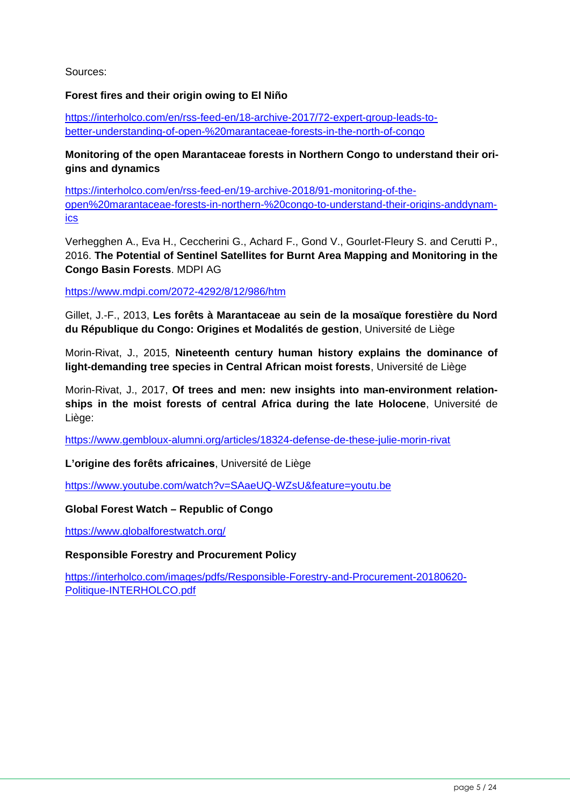#### Sources:

#### **Forest fires and their origin owing to El Niño**

[https://interholco.com/en/rss-feed-en/18-archive-2017/72-expert-group-leads-to](https://interholco.com/en/rss-feed-en/18-archive-2017/72-expert-group-leads-to-better-understanding-of-open-%20marantaceae-forests-in-the-north-of-congo)better-understanding-of-open-%20marantaceae-forests-in-the-north-of-congo

**Monitoring of the open Marantaceae forests in Northern Congo to understand their origins and dynamics**

[https://interholco.com/en/rss-feed-en/19-archive-2018/91-monitoring-of-the](https://interholco.com/en/rss-feed-en/19-archive-2018/91-monitoring-of-the-open%20marantaceae-forests-in-northern-%20congo-to-understand-their-origins-anddynam-ics)[open%20marantaceae-forests-in-northern-%20congo-to-understand-their-origins-anddynam](https://interholco.com/en/rss-feed-en/19-archive-2018/91-monitoring-of-the-open%20marantaceae-forests-in-northern-%20congo-to-understand-their-origins-anddynam-ics)[ics](https://interholco.com/en/rss-feed-en/19-archive-2018/91-monitoring-of-the-open%20marantaceae-forests-in-northern-%20congo-to-understand-their-origins-anddynam-ics)

Verhegghen A., Eva H., Ceccherini G., Achard F., Gond V., Gourlet-Fleury S. and Cerutti P., 2016. **The Potential of Sentinel Satellites for Burnt Area Mapping and Monitoring in the Congo Basin Forests**. MDPI AG

<https://www.mdpi.com/2072-4292/8/12/986/htm>

Gillet, J.-F., 2013, **Les forêts à Marantaceae au sein de la mosaïque forestière du Nord du République du Congo: Origines et Modalités de gestion**, Université de Liège

Morin-Rivat, J., 2015, **Nineteenth century human history explains the dominance of light-demanding tree species in Central African moist forests**, Université de Liège

Morin-Rivat, J., 2017, **Of trees and men: new insights into man-environment relationships in the moist forests of central Africa during the late Holocene**, Université de Liège:

<https://www.gembloux-alumni.org/articles/18324-defense-de-these-julie-morin-rivat>

**L'origine des forêts africaines**, Université de Liège

<https://www.youtube.com/watch?v=SAaeUQ-WZsU&feature=youtu.be>

#### **Global Forest Watch – Republic of Congo**

<https://www.globalforestwatch.org/>

**Responsible Forestry and Procurement Policy**

[https://interholco.com/images/pdfs/Responsible-Forestry-and-Procurement-20180620-](https://interholco.com/images/pdfs/Responsible-Forestry-and-Procurement-20180620-Politique-INTERHOLCO.pdf) [Politique-INTERHOLCO.pdf](https://interholco.com/images/pdfs/Responsible-Forestry-and-Procurement-20180620-Politique-INTERHOLCO.pdf)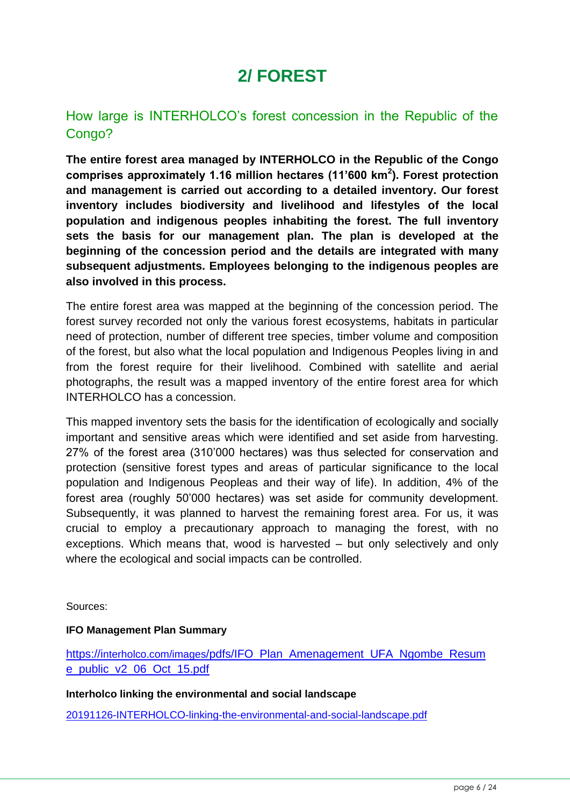# **2/ FOREST**

# <span id="page-5-0"></span>How large is INTERHOLCO's forest concession in the Republic of the Congo?

**The entire forest area managed by INTERHOLCO in the Republic of the Congo comprises approximately 1.16 million hectares (11'600 km<sup>2</sup> ). Forest protection and management is carried out according to a detailed inventory. Our forest inventory includes biodiversity and livelihood and lifestyles of the local population and indigenous peoples inhabiting the forest. The full inventory sets the basis for our management plan. The plan is developed at the beginning of the concession period and the details are integrated with many subsequent adjustments. Employees belonging to the indigenous peoples are also involved in this process.**

The entire forest area was mapped at the beginning of the concession period. The forest survey recorded not only the various forest ecosystems, habitats in particular need of protection, number of different tree species, timber volume and composition of the forest, but also what the local population and Indigenous Peoples living in and from the forest require for their livelihood. Combined with satellite and aerial photographs, the result was a mapped inventory of the entire forest area for which INTERHOLCO has a concession.

This mapped inventory sets the basis for the identification of ecologically and socially important and sensitive areas which were identified and set aside from harvesting. 27% of the forest area (310'000 hectares) was thus selected for conservation and protection (sensitive forest types and areas of particular significance to the local population and Indigenous Peopleas and their way of life). In addition, 4% of the forest area (roughly 50'000 hectares) was set aside for community development. Subsequently, it was planned to harvest the remaining forest area. For us, it was crucial to employ a precautionary approach to managing the forest, with no exceptions. Which means that, wood is harvested – but only selectively and only where the ecological and social impacts can be controlled.

Sources:

#### **IFO Management Plan Summary**

https://interholco.com/images[/pdfs/IFO\\_Plan\\_Amenagement\\_UFA\\_Ngombe\\_Resum](https://interholco.com/images/pdfs/IFO_Plan_Amenagement_UFA_Ngombe_Resume_public_v2_06_Oct_15.pdf)  [e\\_public\\_v2\\_06\\_Oct\\_15.pdf](https://interholco.com/images/pdfs/IFO_Plan_Amenagement_UFA_Ngombe_Resume_public_v2_06_Oct_15.pdf)

#### **Interholco linking the environmental and social landscape**

[20191126-INTERHOLCO-linking-the-environmental-and-social-landscape.pdf](https://interholco.com/images/pdfs/20191126-INTERHOLCO-linking-the-environmental-and-social-landscape.pdf)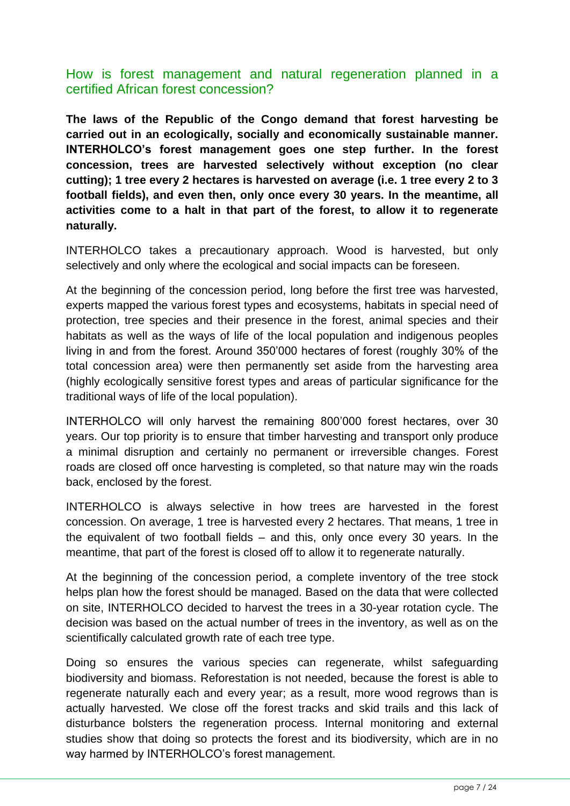## <span id="page-6-0"></span>How is forest management and natural regeneration planned in a certified African forest concession?

**The laws of the Republic of the Congo demand that forest harvesting be carried out in an ecologically, socially and economically sustainable manner. INTERHOLCO's forest management goes one step further. In the forest concession, trees are harvested selectively without exception (no clear cutting); 1 tree every 2 hectares is harvested on average (i.e. 1 tree every 2 to 3 football fields), and even then, only once every 30 years. In the meantime, all activities come to a halt in that part of the forest, to allow it to regenerate naturally.** 

INTERHOLCO takes a precautionary approach. Wood is harvested, but only selectively and only where the ecological and social impacts can be foreseen.

At the beginning of the concession period, long before the first tree was harvested, experts mapped the various forest types and ecosystems, habitats in special need of protection, tree species and their presence in the forest, animal species and their habitats as well as the ways of life of the local population and indigenous peoples living in and from the forest. Around 350'000 hectares of forest (roughly 30% of the total concession area) were then permanently set aside from the harvesting area (highly ecologically sensitive forest types and areas of particular significance for the traditional ways of life of the local population).

INTERHOLCO will only harvest the remaining 800'000 forest hectares, over 30 years. Our top priority is to ensure that timber harvesting and transport only produce a minimal disruption and certainly no permanent or irreversible changes. Forest roads are closed off once harvesting is completed, so that nature may win the roads back, enclosed by the forest.

INTERHOLCO is always selective in how trees are harvested in the forest concession. On average, 1 tree is harvested every 2 hectares. That means, 1 tree in the equivalent of two football fields – and this, only once every 30 years. In the meantime, that part of the forest is closed off to allow it to regenerate naturally.

At the beginning of the concession period, a complete inventory of the tree stock helps plan how the forest should be managed. Based on the data that were collected on site, INTERHOLCO decided to harvest the trees in a 30-year rotation cycle. The decision was based on the actual number of trees in the inventory, as well as on the scientifically calculated growth rate of each tree type.

Doing so ensures the various species can regenerate, whilst safeguarding biodiversity and biomass. Reforestation is not needed, because the forest is able to regenerate naturally each and every year; as a result, more wood regrows than is actually harvested. We close off the forest tracks and skid trails and this lack of disturbance bolsters the regeneration process. Internal monitoring and external studies show that doing so protects the forest and its biodiversity, which are in no way harmed by INTERHOLCO's forest management.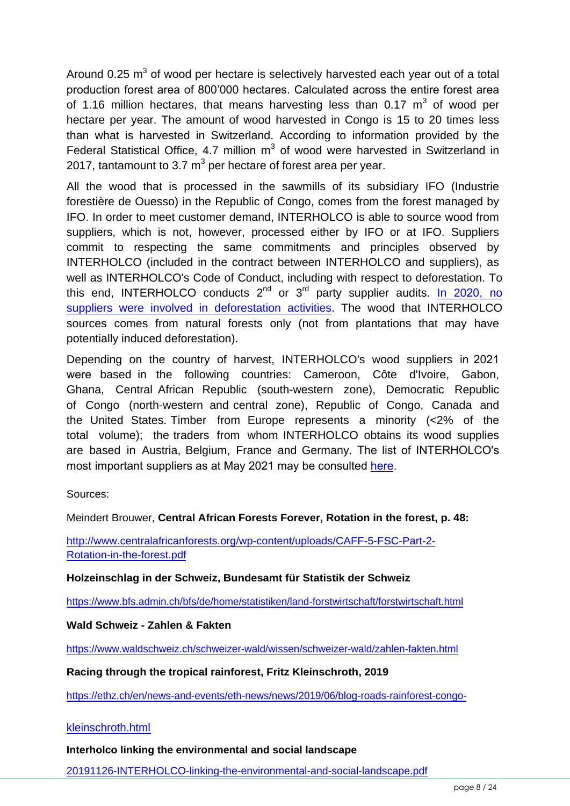Around 0.25  $m^3$  of wood per hectare is selectively harvested each year out of a total production forest area of 800'000 hectares. Calculated across the entire forest area of 1.16 million hectares, that means harvesting less than  $0.17 \text{ m}^3$  of wood per hectare per year. The amount of wood harvested in Congo is 15 to 20 times less than what is harvested in Switzerland. According to information provided by the Federal Statistical Office, 4.7 million  $m^3$  of wood were harvested in Switzerland in 2017, tantamount to 3.7  $m^3$  per hectare of forest area per year.

All the wood that is processed in the sawmills of its subsidiary IFO (Industrie forestière de Ouesso) in the Republic of Congo, comes from the forest managed by IFO. In order to meet customer demand, INTERHOLCO is able to source wood from suppliers, which is not, however, processed either by IFO or at IFO. Suppliers commit to respecting the same commitments and principles observed by INTERHOLCO (included in the contract between INTERHOLCO and suppliers), as well as INTERHOLCO's Code of Conduct, including with respect to deforestation. To this end, INTERHOLCO conducts 2<sup>nd</sup> or 3<sup>rd</sup> party supplier audits. In 2020, no [suppliers were involved in deforestation activities. The wood that INTERHOLCO](https://interholco.com/en/rss-feed-en/22-company-2021/276-supporting-customers-with-trust)  sources comes from natural forests only (not from plantations that may have potentially induced deforestation).

Depending on the country of harvest, INTERHOLCO's wood suppliers in 2021 were based in the following countries: Cameroon, Côte d'Ivoire, Gabon, Ghana, Central African Republic (south-western zone), Democratic Republic of Congo (north-western and central zone), Republic of Congo, Canada and the United States. Timber from Europe represents a minority (<2% of the total volume); the traders from whom INTERHOLCO obtains its wood supplies are based in Austria, Belgium, France and Germany. The list of INTERHOLCO's most important suppliers as at May 2021 may be consulted [here.](https://interholco.com/images/pdfs/SupplierList-Interholco_202105.pdf)

Sources:

Meindert Brouwer, **Central African Forests Forever, Rotation in the forest, p. 48:** 

[http://www.centralafricanforests.org/wp-content/uploads/CAFF-5-FSC-Part-2-](http://www.centralafricanforests.org/wp-content/uploads/CAFF-5-FSC-Part-2-Rotation-in-the-forest.pdf) Rotation-in-the-forest.pdf

**[Holzeinschlag in der Sch](http://www.centralafricanforests.org/wp-content/uploads/CAFF-5-FSC-Part-2-Rotation-in-the-forest.pdf)weiz, Bundesamt für Statistik der Schweiz** 

https://www.bfs.admin.ch/bfs/de/home/statistiken/land-forstwirtschaft/forstwirtschaft.html

**[Wald Schweiz - Zahlen & Fakten](https://www.bfs.admin.ch/bfs/de/home/statistiken/land-forstwirtschaft/forstwirtschaft.html)** 

https://www.waldschweiz.ch/schweizer-wald/wissen/schweizer-wald/zahlen-fakten.html

#### **[Racing through the tropical rainforest, Fritz Kleinschroth, 2019](https://www.waldschweiz.ch/schweizer-wald/wissen/schweizer-wald/zahlen-fakten.html)**

https://ethz.ch/en/news-and-events/eth-news/news/2019/06/blog-roads-rainforest-congo-

#### [kleinschroth.html](https://ethz.ch/en/news-and-events/eth-news/news/2019/06/blog-roads-rainforest-congo-kleinschroth.html)

**Interholco linking the environmental and social landscape**

[20191126-INTERHOLCO-linking-the-environmental-and-social-landscape.pdf](https://interholco.com/images/pdfs/20191126-INTERHOLCO-linking-the-environmental-and-social-landscape.pdf)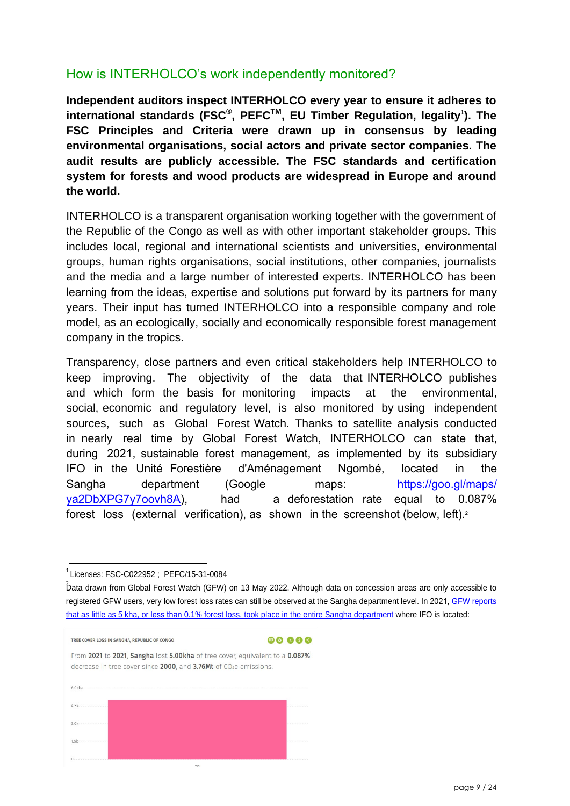## <span id="page-8-0"></span>How is INTERHOLCO's work independently monitored?

**Independent auditors inspect INTERHOLCO every year to ensure it adheres to international standards (FSC® , PEFCTM , EU Timber Regulation, legality<sup>1</sup> ). The FSC Principles and Criteria were drawn up in consensus by leading environmental organisations, social actors and private sector companies. The audit results are publicly accessible. The FSC standards and certification system for forests and wood products are widespread in Europe and around the world.** 

INTERHOLCO is a transparent organisation working together with the government of the Republic of the Congo as well as with other important stakeholder groups. This includes local, regional and international scientists and universities, environmental groups, human rights organisations, social institutions, other companies, journalists and the media and a large number of interested experts. INTERHOLCO has been learning from the ideas, expertise and solutions put forward by its partners for many years. Their input has turned INTERHOLCO into a responsible company and role model, as an ecologically, socially and economically responsible forest management company in the tropics.

Transparency, close partners and even critical stakeholders help INTERHOLCO to keep improving. The objectivity of the data that INTERHOLCO publishes and which form the basis for monitoring impacts at the environmental, social, economic and regulatory level, is also monitored by using independent sources, such as Global Forest Watch. Thanks to satellite analysis conducted in nearly real time by Global Forest Watch, INTERHOLCO can state that, during 2021, sustainable forest management, as implemented by its subsidiary IFO in the Unité Forestière d'Aménagement Ngombé, located in the Sangha department (Google maps: https://goo.gl/maps/ [ya2DbXPG7y7oovh8A\), had a deforestation rate equal to 0.087%](https://goo.gl/maps/ya2DbXPG7y7oovh8A) forest loss (external verification), as shown in the screenshot (below, left).<sup>2</sup>

00000

| 4.5k<br>- 12 |             | ----------                                          |
|--------------|-------------|-----------------------------------------------------|
| $3.0k$       |             | ---------                                           |
| 1.5k         |             | the contract of the contract of the<br>------------ |
|              | <b>BOLA</b> | ------                                              |

<sup>1</sup>  Licenses: FSC-C022952 ; PEFC/15-31-0084

<sup>2</sup>  Data drawn from Global Forest Watch (GFW) on 13 May 2022. Although data on concession areas are only accessible to registered GFW users, very low forest loss rates can still be observed at the Sangha department level. In 2021, GFW reports that as little as 5 kha, or less than [0.1% forest loss, took place in the entire Sangha departm](https://www.globalforestwatch.org/dashboards/country/COG/12/?category=summary&dashboardPrompts=eyJzaG93UHJvbXB0cyI6dHJ1ZSwicHJvbXB0c1ZpZXdlZCI6WyJzdWJzY3JpYmVUb0FyZWEiLCJkYXNoYm9hcmRBbmFseXNlcyIsIndpZGdldFNldHRpbmdzIiwic2hhcmVXaWRnZXQiLCJkb3dubG9hZERhc2hib2FyZFN0YXRzIl0sInNldHRpbmdzIjp7Im9wZW4iOmZhbHNlLCJzdGVwSW5kZXgiOjAsInN0ZXBzS2V5IjoiIn0sIm9wZW4iOnRydWUsInN0ZXBzS2V5Ijoid2lkZ2V0U2V0dGluZ3MifQ%3D%3D&firesAlerts=eyJpbnRlcmFjdGlvbiI6e319&gladAlerts=eyJsYXRlc3REYXRlIjoiMjAxOS0xMi0wOSIsImludGVyYWN0aW9uIjp7fX0%3D&location=WyJjb3VudHJ5IiwiQ09HIiwiMTIiXQ%3D%3D&map=eyJjZW50ZXIiOnsibGF0IjotMC42NjU3MjM2NjU2MjI3MzU0LCJsbmciOjE0LjkyMTI5OTQ2fSwiem9vbSI6Ni40ODY2NDM2MDExNDA1MzU1LCJjYW5Cb3VuZCI6ZmFsc2UsImRhdGFzZXRzIjpbeyJkYXRhc2V0IjoicG9saXRpY2FsLWJvdW5kYXJpZXMiLCJsYXllcnMiOlsiZGlzcHV0ZWQtcG9saXRpY2FsLWJvdW5kYXJpZXMiLCJwb2xpdGljYWwtYm91bmRhcmllcyJdLCJib3VuZGFyeSI6dHJ1ZSwib3BhY2l0eSI6MSwidmlzaWJpbGl0eSI6dHJ1ZX0seyJkYXRhc2V0IjoidHJlZS1jb3Zlci1sb3NzIiwibGF5ZXJzIjpbInRyZWUtY292ZXItbG9zcyJdLCJvcGFjaXR5IjoxLCJ2aXNpYmlsaXR5Ijp0cnVlLCJwYXJhbXMiOnsidGhyZXNob2xkIjozMCwidmlzaWJpbGl0eSI6dHJ1ZX19XX0%3D&treeLoss=eyJpbnRlcmFjdGlvbiI6e319&treeLossTsc=eyJpbnRlcmFjdGlvbiI6e319)ent where IFO is located:

TREE COVER LOSS IN SANGHA, REPUBLIC OF CONGO

From 2021 to 2021, Sangha lost 5.00kha of tree cover, equivalent to a 0.087% decrease in tree cover since 2000, and 3.76Mt of CO<sub>2</sub>e emissions.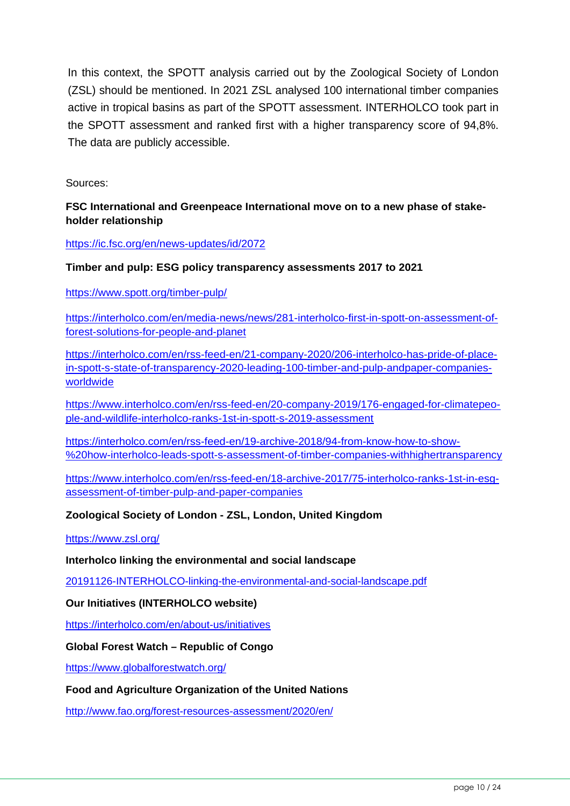In this context, the SPOTT analysis carried out by the Zoological Society of London (ZSL) should be mentioned. In 2021 ZSL analysed 100 international timber companies active in tropical basins as part of the SPOTT assessment. INTERHOLCO took part in the SPOTT assessment and ranked first with a higher transparency score of 94,8%. The data are publicly accessible.

Sources:

#### **FSC International and Greenpeace International move on to a new phase of stakeholder relationship**

<https://ic.fsc.org/en/news-updates/id/2072>

#### **Timber and pulp: ESG policy transparency assessments 2017 to 2021**

<https://www.spott.org/timber-pulp/>

[https://interholco.com/en/media-news/news/281-interholco-first-in-spott-on-assessment-of](https://interholco.com/en/media-news/news/281-interholco-first-in-spott-on-assessment-of-forest-solutions-for-people-and-planet)[forest-solutions-for-people-and-planet](https://interholco.com/en/media-news/news/281-interholco-first-in-spott-on-assessment-of-forest-solutions-for-people-and-planet)

[https://interholco.com/en/rss-feed-en/21-company-2020/206-interholco-has-pride-of-place](https://interholco.com/en/rss-feed-en/21-company-2020/206-interholco-has-pride-of-place-in-spott-s-state-of-transparency-2020-leading-100-timber-and-pulp-andpaper-companies-worldwide)in-spott-s-state-of-transparency-2020-leading-100-timber-and-pulp-andpaper-companies[worldwide](https://interholco.com/en/rss-feed-en/21-company-2020/206-interholco-has-pride-of-place-in-spott-s-state-of-transparency-2020-leading-100-timber-and-pulp-andpaper-companies-worldwide)

[https://www.interholco.com/en/rss-feed-en/20-company-2019/176-engaged-for-climatepeo](https://www.interholco.com/en/rss-feed-en/20-company-2019/176-engaged-for-climate-people-and-wildlife-interholco-ranks-1st-in-spott-s-2019-assessment)[ple-and-wildlife-interholco-ranks-1st-in-spott-s-2019-assessment](https://www.interholco.com/en/rss-feed-en/20-company-2019/176-engaged-for-climate-people-and-wildlife-interholco-ranks-1st-in-spott-s-2019-assessment)

https://interholco.com/en/rss-feed-en/19-archive-2018/94-from-know-how-to-show- [%20how-interholco-leads-spott-s-assessment-of-timber-companies-withhighertransparency](https://interholco.com/en/rss-feed-en/19-archive-2018/94-from-know-how-to-show-%20how-interholco-leads-spott-s-assessment-of-timber-companies-withhighertransparency)

[https://www.interholco.com/en/rss-feed-en/18-archive-2017/75-interholco-ranks-1st-in-esg](https://www.interholco.com/en/rss-feed-en/18-archive-2017/75-interholco-ranks-1st-in-esg-assessment-of-timber-pulp-and-paper-companies)[assessment-of-timber-pulp-and-paper-companies](https://www.interholco.com/en/rss-feed-en/18-archive-2017/75-interholco-ranks-1st-in-esg-assessment-of-timber-pulp-and-paper-companies)

#### **Zoological Society of London - ZSL, London, United Kingdom**

<https://www.zsl.org/>

**Interholco linking the environmental and social landscape** 

[20191126-INTERHOLCO-linking-the-environmental-and-social-landscape.pdf](https://interholco.com/images/pdfs/20191126-INTERHOLCO-linking-the-environmental-and-social-landscape.pdf) 

#### **Our Initiatives (INTERHOLCO website)**

<https://interholco.com/en/about-us/initiatives>

#### **Global Forest Watch – Republic of Congo**

<https://www.globalforestwatch.org/>

#### **Food and Agriculture Organization of the United Nations**

<http://www.fao.org/forest-resources-assessment/2020/en/>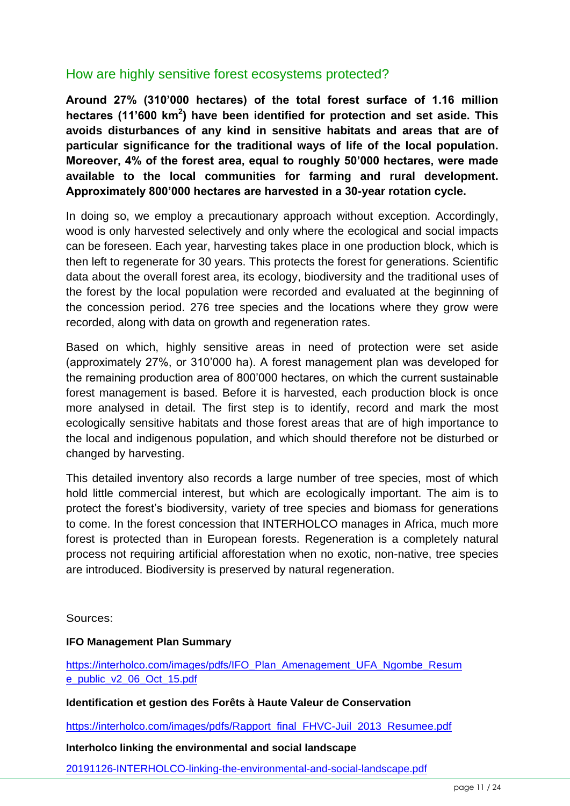## <span id="page-10-0"></span>How are highly sensitive forest ecosystems protected?

**Around 27% (310'000 hectares) of the total forest surface of 1.16 million hectares (11'600 km<sup>2</sup> ) have been identified for protection and set aside. This avoids disturbances of any kind in sensitive habitats and areas that are of particular significance for the traditional ways of life of the local population. Moreover, 4% of the forest area, equal to roughly 50'000 hectares, were made available to the local communities for farming and rural development. Approximately 800'000 hectares are harvested in a 30-year rotation cycle.**

In doing so, we employ a precautionary approach without exception. Accordingly, wood is only harvested selectively and only where the ecological and social impacts can be foreseen. Each year, harvesting takes place in one production block, which is then left to regenerate for 30 years. This protects the forest for generations. Scientific data about the overall forest area, its ecology, biodiversity and the traditional uses of the forest by the local population were recorded and evaluated at the beginning of the concession period. 276 tree species and the locations where they grow were recorded, along with data on growth and regeneration rates.

Based on which, highly sensitive areas in need of protection were set aside (approximately 27%, or 310'000 ha). A forest management plan was developed for the remaining production area of 800'000 hectares, on which the current sustainable forest management is based. Before it is harvested, each production block is once more analysed in detail. The first step is to identify, record and mark the most ecologically sensitive habitats and those forest areas that are of high importance to the local and indigenous population, and which should therefore not be disturbed or changed by harvesting.

This detailed inventory also records a large number of tree species, most of which hold little commercial interest, but which are ecologically important. The aim is to protect the forest's biodiversity, variety of tree species and biomass for generations to come. In the forest concession that INTERHOLCO manages in Africa, much more forest is protected than in European forests. Regeneration is a completely natural process not requiring artificial afforestation when no exotic, non-native, tree species are introduced. Biodiversity is preserved by natural regeneration.

Sources:

#### **IFO Management Plan Summary**

https://interholco.com/ima[ges/pdfs/IFO\\_Plan\\_Amenagement\\_UFA\\_Ngombe\\_Resum](https://interholco.com/images/pdfs/IFO_Plan_Amenagement_UFA_Ngombe_Resume_public_v2_06_Oct_15.pdf)  [e\\_public\\_v2\\_06\\_Oct\\_15.pdf](https://interholco.com/images/pdfs/IFO_Plan_Amenagement_UFA_Ngombe_Resume_public_v2_06_Oct_15.pdf)

#### **Identification et gestion des Forêts à Haute Valeur de Conservation**

[https://interholco.com/images/pdfs/Rapport\\_final\\_FHVC-Juil\\_2013\\_Resumee.pdf](https://interholco.com/images/pdfs/Rapport_final_FHVC-Juil_2013_Resumee.pdf)

#### **Interholco linking the environmental and social landscape**

[20191126-INTERHOLCO-linking-the-environmental-and-social-landscape.pdf](https://interholco.com/images/pdfs/20191126-INTERHOLCO-linking-the-environmental-and-social-landscape.pdf)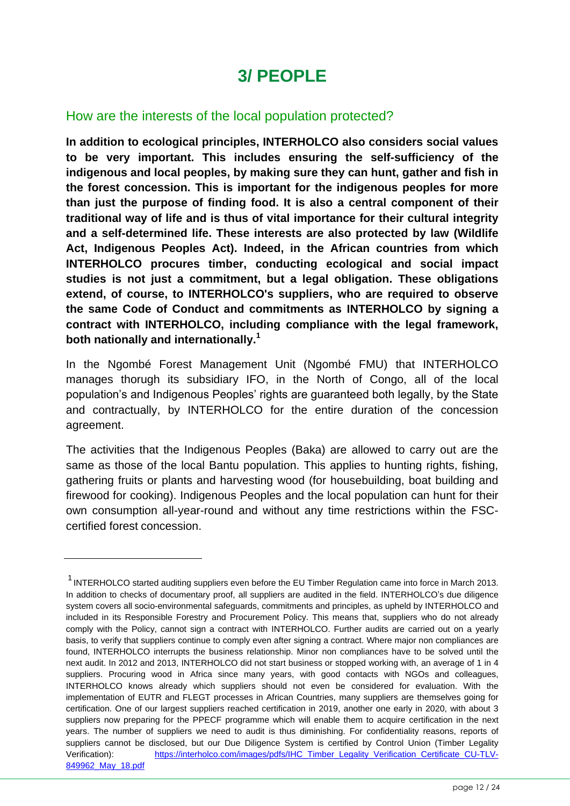# **3/ PEOPLE**

## <span id="page-11-0"></span>How are the interests of the local population protected?

**In addition to ecological principles, INTERHOLCO also considers social values to be very important. This includes ensuring the self-sufficiency of the indigenous and local peoples, by making sure they can hunt, gather and fish in the forest concession. This is important for the indigenous peoples for more than just the purpose of finding food. It is also a central component of their traditional way of life and is thus of vital importance for their cultural integrity and a self-determined life. These interests are also protected by law (Wildlife Act, Indigenous Peoples Act). Indeed, in the African countries from which INTERHOLCO procures timber, conducting ecological and social impact studies is not just a commitment, but a legal obligation. These obligations extend, of course, to INTERHOLCO's suppliers, who are required to observe the same Code of Conduct and commitments as INTERHOLCO by signing a contract with INTERHOLCO, including compliance with the legal framework, both nationally and internationally.<sup>1</sup>**

In the Ngombé Forest Management Unit (Ngombé FMU) that INTERHOLCO manages thorugh its subsidiary IFO, in the North of Congo, all of the local population's and Indigenous Peoples' rights are guaranteed both legally, by the State and contractually, by INTERHOLCO for the entire duration of the concession agreement.

The activities that the Indigenous Peoples (Baka) are allowed to carry out are the same as those of the local Bantu population. This applies to hunting rights, fishing, gathering fruits or plants and harvesting wood (for housebuilding, boat building and firewood for cooking). Indigenous Peoples and the local population can hunt for their own consumption all-year-round and without any time restrictions within the FSCcertified forest concession.

<sup>&</sup>lt;sup>1</sup> INTERHOLCO started auditing suppliers even before the EU Timber Regulation came into force in March 2013. In addition to checks of documentary proof, all suppliers are audited in the field. INTERHOLCO's due diligence system covers all socio-environmental safeguards, commitments and principles, as upheld by INTERHOLCO and included in its Responsible Forestry and Procurement Policy. This means that, suppliers who do not already comply with the Policy, cannot sign a contract with INTERHOLCO. Further audits are carried out on a yearly basis, to verify that suppliers continue to comply even after signing a contract. Where major non compliances are found, INTERHOLCO interrupts the business relationship. Minor non compliances have to be solved until the next audit. In 2012 and 2013, INTERHOLCO did not start business or stopped working with, an average of 1 in 4 suppliers. Procuring wood in Africa since many years, with good contacts with NGOs and colleagues, INTERHOLCO knows already which suppliers should not even be considered for evaluation. With the implementation of EUTR and FLEGT processes in African Countries, many suppliers are themselves going for certification. One of our largest suppliers reached certification in 2019, another one early in 2020, with about 3 suppliers now preparing for the PPECF programme which will enable them to acquire certification in the next years. The number of suppliers we need to audit is thus diminishing. For confidentiality reasons, reports of suppliers cannot be disclosed, but our Due Diligence System is certified by Control Union (Timber Legality Verification): [https://interholco.com/images/pdfs/IHC\\_Timber\\_Legality\\_Verification\\_Certificate\\_CU-TLV-](https://interholco.com/images/pdfs/IHC_Timber_Legality_Verification_Certificate_CU-TLV-849962_May_18.pdf)[849962\\_May\\_18.pdf](https://interholco.com/images/pdfs/IHC_Timber_Legality_Verification_Certificate_CU-TLV-849962_May_18.pdf)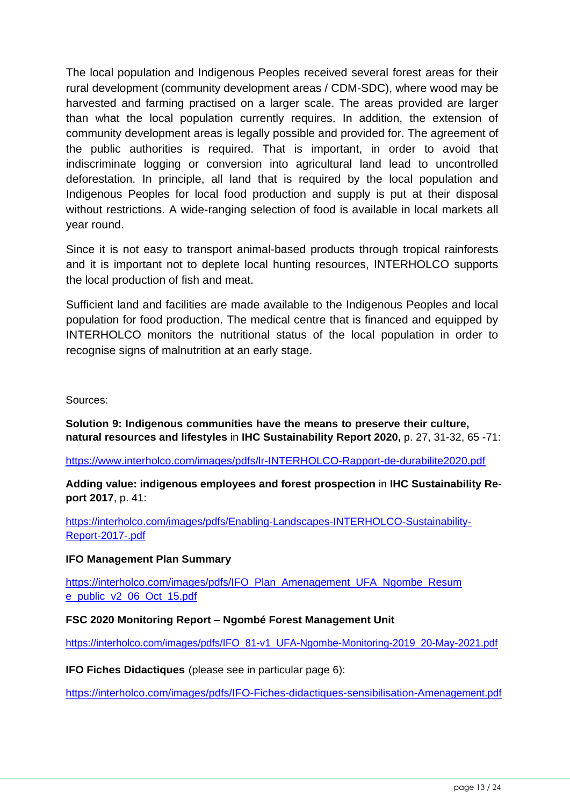The local population and Indigenous Peoples received several forest areas for their rural development (community development areas / CDM-SDC), where wood may be harvested and farming practised on a larger scale. The areas provided are larger than what the local population currently requires. In addition, the extension of community development areas is legally possible and provided for. The agreement of the public authorities is required. That is important, in order to avoid that indiscriminate logging or conversion into agricultural land lead to uncontrolled deforestation. In principle, all land that is required by the local population and Indigenous Peoples for local food production and supply is put at their disposal without restrictions. A wide-ranging selection of food is available in local markets all year round.

Since it is not easy to transport animal-based products through tropical rainforests and it is important not to deplete local hunting resources, INTERHOLCO supports the local production of fish and meat.

Sufficient land and facilities are made available to the Indigenous Peoples and local population for food production. The medical centre that is financed and equipped by INTERHOLCO monitors the nutritional status of the local population in order to recognise signs of malnutrition at an early stage.

Sources:

**Solution 9: Indigenous communities have the means to preserve their culture, natural resources and lifestyles** in **IHC Sustainability Report 2020,** p. 27, 31-32, 65 -71:

#### <https://www.interholco.com/images/pdfs/lr-INTERHOLCO-Rapport-de-durabilite2020.pdf>

**Adding value: indigenous employees and forest prospection** in **IHC Sustainability Report 2017**, p. 41:

[https://interholco.com/images/pdfs/Enabling-Landscapes-INTERHOLCO-Sustainability-](https://interholco.com/images/pdfs/Enabling-Landscapes-INTERHOLCO-Sustainability-Report-2017-.pdf)[Report-2017-.pdf](https://interholco.com/images/pdfs/Enabling-Landscapes-INTERHOLCO-Sustainability-Report-2017-.pdf)

#### **IFO Management Plan Summary**

https://interholco.com/ima[ges/pdfs/IFO\\_Plan\\_Amenagement\\_UFA\\_Ngombe\\_Resum](https://interholco.com/images/pdfs/IFO_Plan_Amenagement_UFA_Ngombe_Resume_public_v2_06_Oct_15.pdf) [e\\_public\\_v2\\_06\\_Oct\\_15.pdf](https://interholco.com/images/pdfs/IFO_Plan_Amenagement_UFA_Ngombe_Resume_public_v2_06_Oct_15.pdf)

#### **FSC 2020 Monitoring Report – Ngombé Forest Management Unit**

[https://interholco.com/images/pdfs/IFO\\_81-v1\\_UFA-Ngombe-Monitoring-2019\\_20-May-2021.pdf](https://interholco.com/images/pdfs/IFO_81-v1_UFA-Ngombe-Monitoring-2019_20-May-2021.pdf)

**IFO Fiches Didactiques** (please see in particular page 6):

<https://interholco.com/images/pdfs/IFO-Fiches-didactiques-sensibilisation-Amenagement.pdf>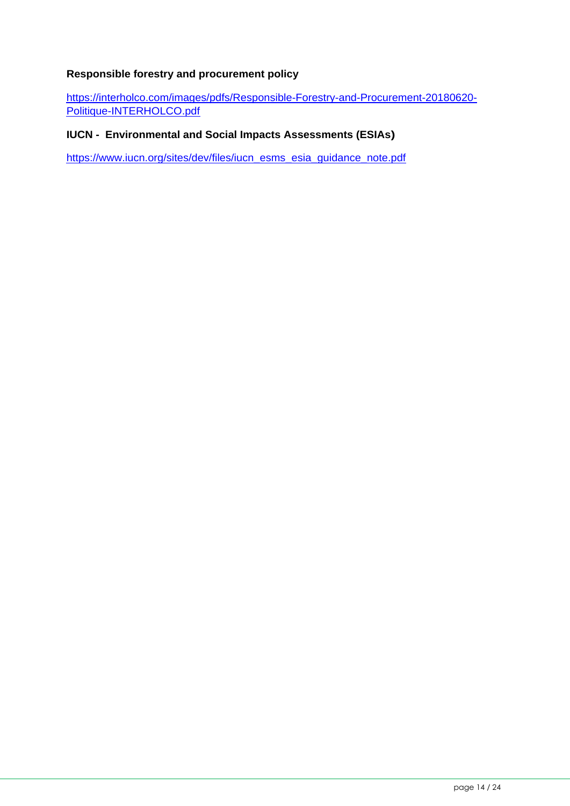#### **Responsible forestry and procurement policy**

[https://interholco.com/images/pdfs/Responsible-Forestry-and-Procurement-20180620-](https://interholco.com/images/pdfs/Responsible-Forestry-and-Procurement-20180620-Politique-INTERHOLCO.pdf) [Politique-INTERHOLCO.pdf](https://interholco.com/images/pdfs/Responsible-Forestry-and-Procurement-20180620-Politique-INTERHOLCO.pdf)

#### **IUCN - Environmental and Social Impacts Assessments (ESIAs)**

[https://www.iucn.org/sites/dev/files/iucn\\_esms\\_esia\\_guidance\\_note.pdf](https://www.iucn.org/sites/dev/files/iucn_esms_esia_guidance_note.pdf)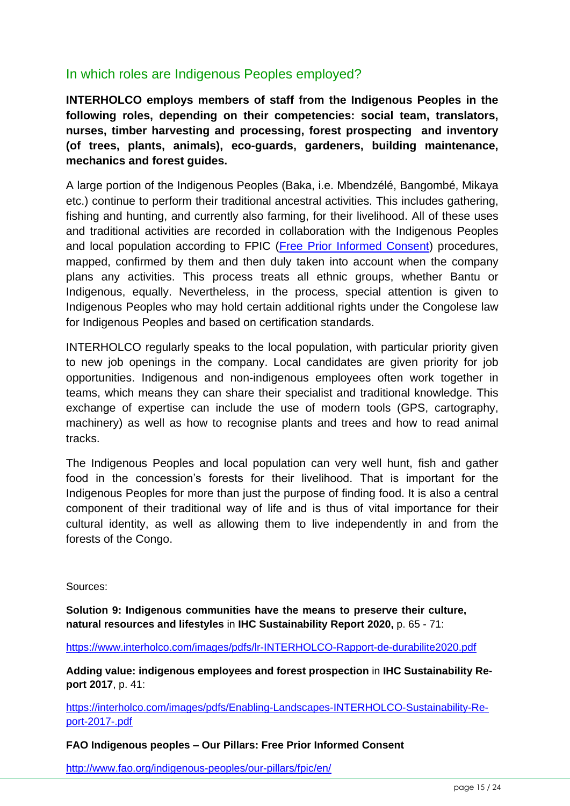## <span id="page-14-0"></span>In which roles are Indigenous Peoples employed?

**INTERHOLCO employs members of staff from the Indigenous Peoples in the following roles, depending on their competencies: social team, translators, nurses, timber harvesting and processing, forest prospecting and inventory (of trees, plants, animals), eco-guards, gardeners, building maintenance, mechanics and forest guides.**

A large portion of the Indigenous Peoples (Baka, i.e. Mbendzélé, Bangombé, Mikaya etc.) continue to perform their traditional ancestral activities. This includes gathering, fishing and hunting, and currently also farming, for their livelihood. All of these uses and traditional activities are recorded in collaboration with the Indigenous Peoples and local population according to FPIC [\(Free Prior Informed Consent\)](http://www.fao.org/indigenous-peoples/our-pillars/fpic/en/) procedures, mapped, confirmed by them and then duly taken into account when the company plans any activities. This process treats all ethnic groups, whether Bantu or Indigenous, equally. Nevertheless, in the process, special attention is given to Indigenous Peoples who may hold certain additional rights under the Congolese law for Indigenous Peoples and based on certification standards.

INTERHOLCO regularly speaks to the local population, with particular priority given to new job openings in the company. Local candidates are given priority for job opportunities. Indigenous and non-indigenous employees often work together in teams, which means they can share their specialist and traditional knowledge. This exchange of expertise can include the use of modern tools (GPS, cartography, machinery) as well as how to recognise plants and trees and how to read animal tracks.

The Indigenous Peoples and local population can very well hunt, fish and gather food in the concession's forests for their livelihood. That is important for the Indigenous Peoples for more than just the purpose of finding food. It is also a central component of their traditional way of life and is thus of vital importance for their cultural identity, as well as allowing them to live independently in and from the forests of the Congo.

Sources:

**Solution 9: Indigenous communities have the means to preserve their culture, natural resources and lifestyles** in **IHC Sustainability Report 2020,** p. 65 - 71:

<https://www.interholco.com/images/pdfs/lr-INTERHOLCO-Rapport-de-durabilite2020.pdf>

**Adding value: indigenous employees and forest prospection** in **IHC Sustainability Report 2017**, p. 41:

[https://interholco.com/images/pdfs/Enabling-Landscapes-INTERHOLCO-Sustainability-Re](https://interholco.com/images/pdfs/Enabling-Landscapes-INTERHOLCO-Sustainability-Report-2017-.pdf)[port-2017-.pdf](https://interholco.com/images/pdfs/Enabling-Landscapes-INTERHOLCO-Sustainability-Report-2017-.pdf)

**FAO Indigenous peoples – Our Pillars: Free Prior Informed Consent** 

<http://www.fao.org/indigenous-peoples/our-pillars/fpic/en/>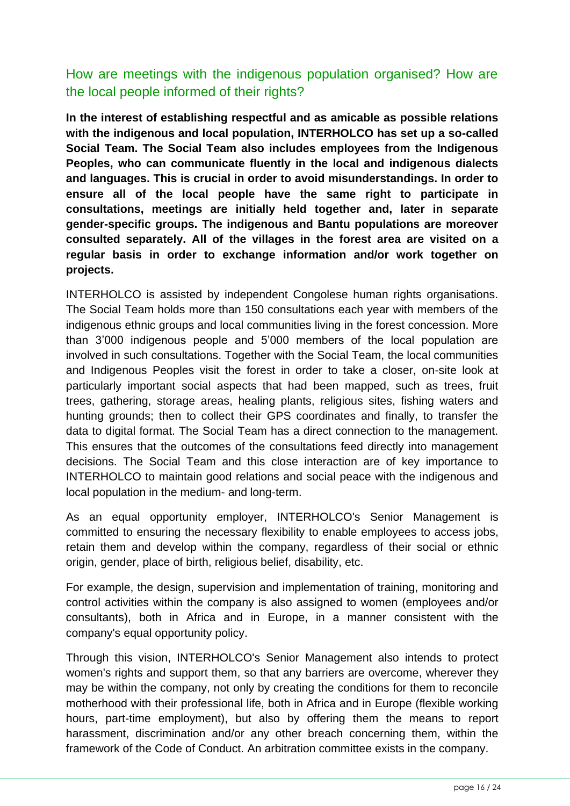# <span id="page-15-0"></span>How are meetings with the indigenous population organised? How are the local people informed of their rights?

**In the interest of establishing respectful and as amicable as possible relations with the indigenous and local population, INTERHOLCO has set up a so-called Social Team. The Social Team also includes employees from the Indigenous Peoples, who can communicate fluently in the local and indigenous dialects and languages. This is crucial in order to avoid misunderstandings. In order to ensure all of the local people have the same right to participate in consultations, meetings are initially held together and, later in separate gender-specific groups. The indigenous and Bantu populations are moreover consulted separately. All of the villages in the forest area are visited on a regular basis in order to exchange information and/or work together on projects.**

INTERHOLCO is assisted by independent Congolese human rights organisations. The Social Team holds more than 150 consultations each year with members of the indigenous ethnic groups and local communities living in the forest concession. More than 3'000 indigenous people and 5'000 members of the local population are involved in such consultations. Together with the Social Team, the local communities and Indigenous Peoples visit the forest in order to take a closer, on-site look at particularly important social aspects that had been mapped, such as trees, fruit trees, gathering, storage areas, healing plants, religious sites, fishing waters and hunting grounds; then to collect their GPS coordinates and finally, to transfer the data to digital format. The Social Team has a direct connection to the management. This ensures that the outcomes of the consultations feed directly into management decisions. The Social Team and this close interaction are of key importance to INTERHOLCO to maintain good relations and social peace with the indigenous and local population in the medium- and long-term.

As an equal opportunity employer, INTERHOLCO's Senior Management is committed to ensuring the necessary flexibility to enable employees to access jobs, retain them and develop within the company, regardless of their social or ethnic origin, gender, place of birth, religious belief, disability, etc.

For example, the design, supervision and implementation of training, monitoring and control activities within the company is also assigned to women (employees and/or consultants), both in Africa and in Europe, in a manner consistent with the company's equal opportunity policy.

Through this vision, INTERHOLCO's Senior Management also intends to protect women's rights and support them, so that any barriers are overcome, wherever they may be within the company, not only by creating the conditions for them to reconcile motherhood with their professional life, both in Africa and in Europe (flexible working hours, part-time employment), but also by offering them the means to report harassment, discrimination and/or any other breach concerning them, within the framework of the Code of Conduct. An arbitration committee exists in the company.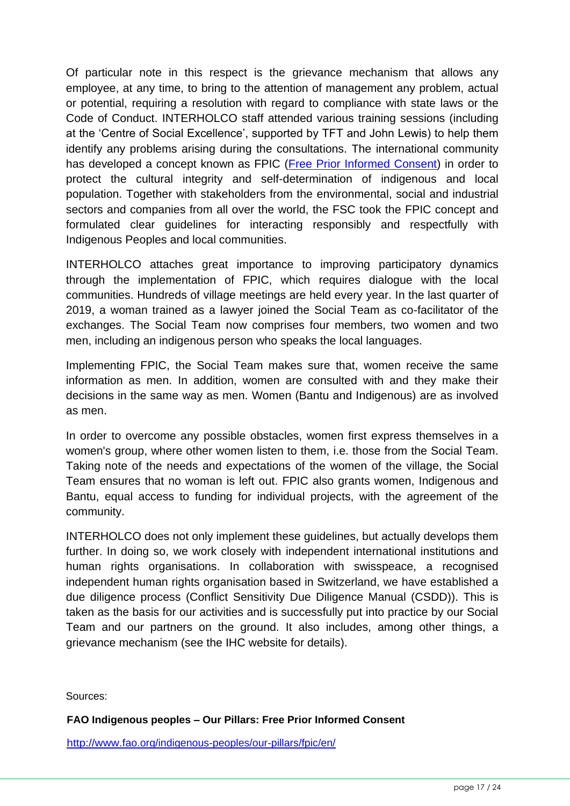Of particular note in this respect is the grievance mechanism that allows any employee, at any time, to bring to the attention of management any problem, actual or potential, requiring a resolution with regard to compliance with state laws or the Code of Conduct. INTERHOLCO staff attended various training sessions (including at the 'Centre of Social Excellence', supported by TFT and John Lewis) to help them identify any problems arising during the consultations. The international community has developed a concept known as FPIC ([Free Prior Informed Consent\)](http://www.fao.org/indigenous-peoples/our-pillars/fpic/en/) in order to protect the cultural integrity and self-determination of indigenous and local population. Together with stakeholders from the environmental, social and industrial sectors and companies from all over the world, the FSC took the FPIC concept and formulated clear guidelines for interacting responsibly and respectfully with Indigenous Peoples and local communities.

INTERHOLCO attaches great importance to improving participatory dynamics through the implementation of FPIC, which requires dialogue with the local communities. Hundreds of village meetings are held every year. In the last quarter of 2019, a woman trained as a lawyer joined the Social Team as co-facilitator of the exchanges. The Social Team now comprises four members, two women and two men, including an indigenous person who speaks the local languages.

Implementing FPIC, the Social Team makes sure that, women receive the same information as men. In addition, women are consulted with and they make their decisions in the same way as men. Women (Bantu and Indigenous) are as involved as men.

In order to overcome any possible obstacles, women first express themselves in a women's group, where other women listen to them, i.e. those from the Social Team. Taking note of the needs and expectations of the women of the village, the Social Team ensures that no woman is left out. FPIC also grants women, Indigenous and Bantu, equal access to funding for individual projects, with the agreement of the community.

INTERHOLCO does not only implement these guidelines, but actually develops them further. In doing so, we work closely with independent international institutions and human rights organisations. In collaboration with swisspeace, a recognised independent human rights organisation based in Switzerland, we have established a due diligence process (Conflict Sensitivity Due Diligence Manual (CSDD)). This is taken as the basis for our activities and is successfully put into practice by our Social Team and our partners on the ground. It also includes, among other things, a grievance mechanism (see the IHC website for details).

Sources:

**FAO Indigenous peoples – Our Pillars: Free Prior Informed Consent**

<http://www.fao.org/indigenous-peoples/our-pillars/fpic/en/>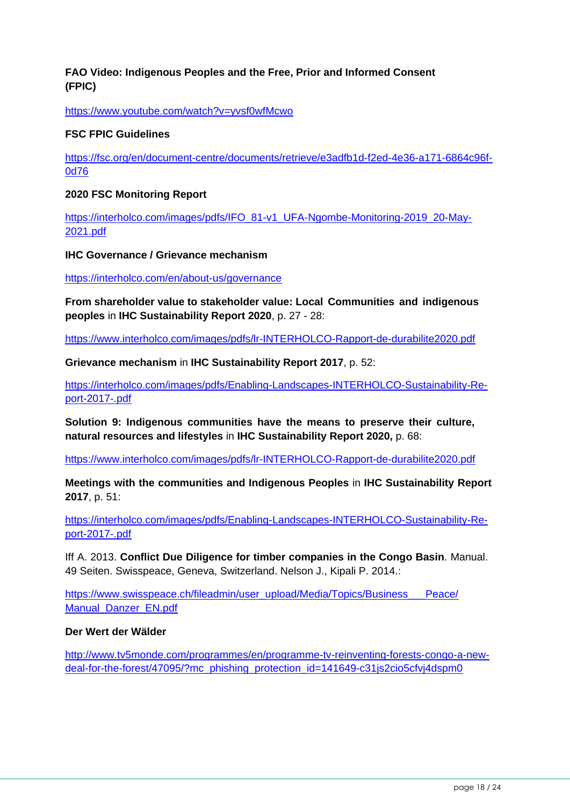#### **FAO Video: Indigenous Peoples and the Free, Prior and Informed Consent (FPIC)**

<https://www.youtube.com/watch?v=yvsf0wfMcwo>

#### **FSC FPIC Guidelines**

[https://fsc.org/en/document-centre/documents/retrieve/e3adfb1d-f2ed-4e36-a171-6864c96f-](https://fsc.org/en/document-centre/documents/retrieve/e3adfb1d-f2ed-4e36-a171-6864c96f0d76)[0d76](https://fsc.org/en/document-centre/documents/retrieve/e3adfb1d-f2ed-4e36-a171-6864c96f0d76) 

#### **2020 FSC Monitoring Report**

[https://interholco.com/images/pdfs/IFO\\_81-v1\\_UFA-Ngombe-Monitoring-2019\\_20-May-](https://interholco.com/images/pdfs/IFO_81-v1_UFA-Ngombe-Monitoring-2019_20-May-2021.pdf)[2021.pdf](https://interholco.com/images/pdfs/IFO_81-v1_UFA-Ngombe-Monitoring-2019_20-May-2021.pdf)

**IHC Governance / Grievance mechanism** 

<https://interholco.com/en/about-us/governance>

**From shareholder value to stakeholder value: Local Communities and indigenous peoples** in **IHC Sustainability Report 2020**, p. 27 - 28:

<https://www.interholco.com/images/pdfs/lr-INTERHOLCO-Rapport-de-durabilite2020.pdf>

**Grievance mechanism** in **IHC Sustainability Report 2017**, p. 52:

[https://interholco.com/images/pdfs/Enabling-Landscapes-INTERHOLCO-Sustainability-Re](https://interholco.com/images/pdfs/Enabling-Landscapes-INTERHOLCO-Sustainability-Report-2017-.pdf)[port-2017-.pdf](https://interholco.com/images/pdfs/Enabling-Landscapes-INTERHOLCO-Sustainability-Report-2017-.pdf)

**Solution 9: Indigenous communities have the means to preserve their culture, natural resources and lifestyles** in **IHC Sustainability Report 2020,** p. 68:

<https://www.interholco.com/images/pdfs/lr-INTERHOLCO-Rapport-de-durabilite2020.pdf>

**Meetings with the communities and Indigenous Peoples** in **IHC Sustainability Report 2017**, p. 51:

[https://interholco.com/images/pdfs/Enabling-Landscapes-INTERHOLCO-Sustainability-Re](https://interholco.com/images/pdfs/Enabling-Landscapes-INTERHOLCO-Sustainability-Report-2017-.pdf)[port-2017-.pdf](https://interholco.com/images/pdfs/Enabling-Landscapes-INTERHOLCO-Sustainability-Report-2017-.pdf)

Iff A. 2013. **Conflict Due Diligence for timber companies in the Congo Basin**. Manual. 49 Seiten. Swisspeace, Geneva, Switzerland. Nelson J., Kipali P. 2014.:

https://www.swisspeace.ch/fileadmin/user\_upload/Media/Topics/Business\_\_\_Peace/ [Manual\\_Danzer\\_EN.pdf](https://www.swisspeace.ch/fileadmin/user_upload/Media/Topics/Business___Peace/Manual_Danzer_EN.pdf)

#### **Der Wert der Wälder**

[http://www.tv5monde.com/programmes/en/programme-tv-reinventing-forests-congo-a-new](http://www.tv5monde.com/programmes/en/programme-tv-reinventing-forests-congo-a-new-deal-for-the-forest/47095/?mc_phishing_protection_id=141649-c31js2cio5cfvj4dspm0)[deal-for-the-forest/47095/?mc\\_phishing\\_protection\\_id=141649-c31js2cio5cfvj4dspm0](http://www.tv5monde.com/programmes/en/programme-tv-reinventing-forests-congo-a-new-deal-for-the-forest/47095/?mc_phishing_protection_id=141649-c31js2cio5cfvj4dspm0)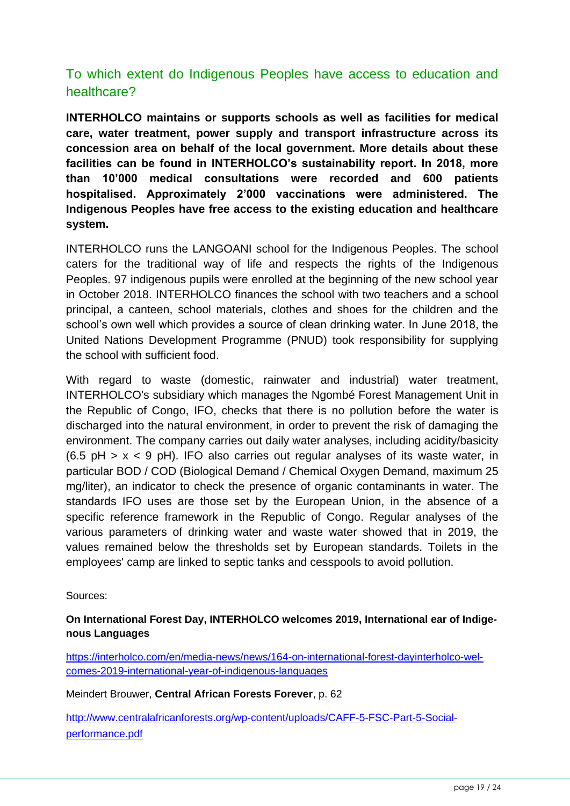# <span id="page-18-0"></span>To which extent do Indigenous Peoples have access to education and healthcare?

**INTERHOLCO maintains or supports schools as well as facilities for medical care, water treatment, power supply and transport infrastructure across its concession area on behalf of the local government. More details about these facilities can be found in INTERHOLCO's sustainability report. In 2018, more than 10'000 medical consultations were recorded and 600 patients hospitalised. Approximately 2'000 vaccinations were administered. The Indigenous Peoples have free access to the existing education and healthcare system.**

INTERHOLCO runs the LANGOANI school for the Indigenous Peoples. The school caters for the traditional way of life and respects the rights of the Indigenous Peoples. 97 indigenous pupils were enrolled at the beginning of the new school year in October 2018. INTERHOLCO finances the school with two teachers and a school principal, a canteen, school materials, clothes and shoes for the children and the school's own well which provides a source of clean drinking water. In June 2018, the United Nations Development Programme (PNUD) took responsibility for supplying the school with sufficient food.

With regard to waste (domestic, rainwater and industrial) water treatment, INTERHOLCO's subsidiary which manages the Ngombé Forest Management Unit in the Republic of Congo, IFO, checks that there is no pollution before the water is discharged into the natural environment, in order to prevent the risk of damaging the environment. The company carries out daily water analyses, including acidity/basicity  $(6.5 \text{ pH} > x < 9 \text{ pH})$ . IFO also carries out regular analyses of its waste water, in particular BOD / COD (Biological Demand / Chemical Oxygen Demand, maximum 25 mg/liter), an indicator to check the presence of organic contaminants in water. The standards IFO uses are those set by the European Union, in the absence of a specific reference framework in the Republic of Congo. Regular analyses of the various parameters of drinking water and waste water showed that in 2019, the values remained below the thresholds set by European standards. Toilets in the employees' camp are linked to septic tanks and cesspools to avoid pollution.

#### Sources:

#### **On International Forest Day, INTERHOLCO welcomes 2019, International ear of Indigenous Languages**

[https://interholco.com/en/media-news/news/164-on-international-forest-dayinterholco-wel](https://interholco.com/en/media-news/news/164-on-international-forest-dayinterholco-welcomes-2019-international-year-of-indigenous-languages)[comes-2019-international-year-of-indigenous-languages](https://interholco.com/en/media-news/news/164-on-international-forest-dayinterholco-welcomes-2019-international-year-of-indigenous-languages)

Meindert Brouwer, **Central African Forests Forever**, p. 62

[http://www.centralafricanforests.org/wp-content/uploads/CAFF-5-FSC-Part-5-Social](http://www.centralafricanforests.org/wp-content/uploads/CAFF-5-FSC-Part-5-Social-performance.pdf)[performance.pdf](http://www.centralafricanforests.org/wp-content/uploads/CAFF-5-FSC-Part-5-Social-performance.pdf)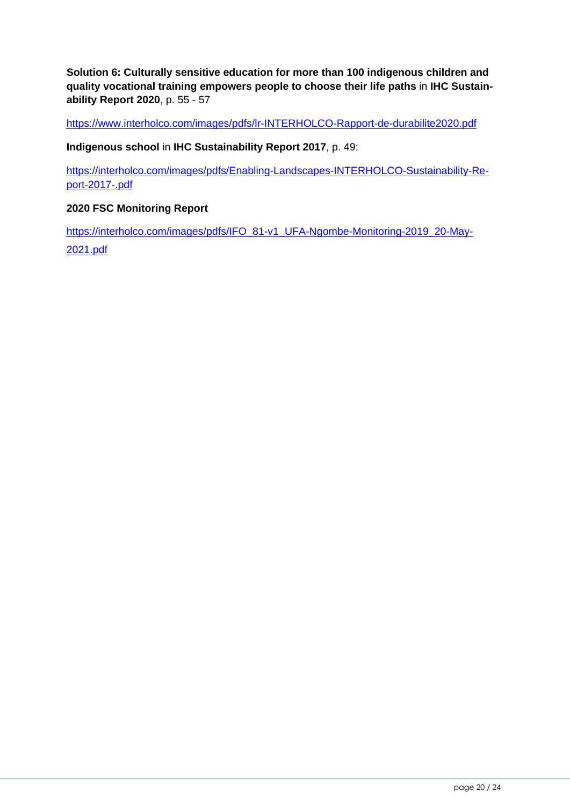**Solution 6: Culturally sensitive education for more than 100 indigenous children and quality vocational training empowers people to choose their life paths** in **IHC Sustainability Report 2020**, p. 55 - 57

<https://www.interholco.com/images/pdfs/lr-INTERHOLCO-Rapport-de-durabilite2020.pdf>

**Indigenous school** in **IHC Sustainability Report 2017**, p. 49:

[https://interholco.com/images/pdfs/Enabling-Landscapes-INTERHOLCO-Sustainability-Re](https://interholco.com/images/pdfs/Enabling-Landscapes-INTERHOLCO-Sustainability-Report-2017-.pdf)[port-2017-.pdf](https://interholco.com/images/pdfs/Enabling-Landscapes-INTERHOLCO-Sustainability-Report-2017-.pdf)

#### **2020 FSC Monitoring Report**

[https://interholco.com/images/pdfs/IFO\\_81-v1\\_UFA-Ngombe-Monitoring-2019\\_20-May-](https://interholco.com/images/pdfs/IFO_81-v1_UFA-Ngombe-Monitoring-2019_20-May-2021.pdf)[2021.pdf](https://interholco.com/images/pdfs/IFO_81-v1_UFA-Ngombe-Monitoring-2019_20-May-2021.pdf)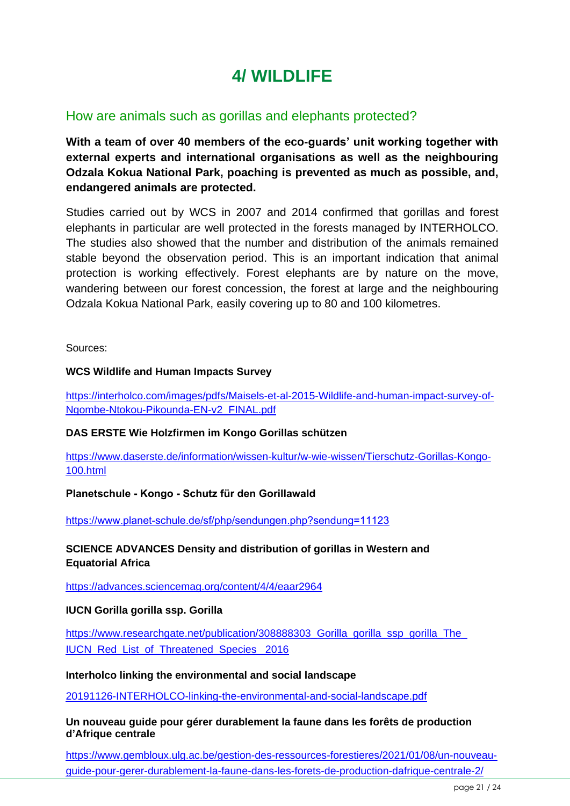# **4/ WILDLIFE**

## <span id="page-20-0"></span>How are animals such as gorillas and elephants protected?

**With a team of over 40 members of the eco-guards' unit working together with external experts and international organisations as well as the neighbouring Odzala Kokua National Park, poaching is prevented as much as possible, and, endangered animals are protected.**

Studies carried out by WCS in 2007 and 2014 confirmed that gorillas and forest elephants in particular are well protected in the forests managed by INTERHOLCO. The studies also showed that the number and distribution of the animals remained stable beyond the observation period. This is an important indication that animal protection is working effectively. Forest elephants are by nature on the move, wandering between our forest concession, the forest at large and the neighbouring Odzala Kokua National Park, easily covering up to 80 and 100 kilometres.

Sources:

#### **WCS Wildlife and Human Impacts Survey**

[https://interholco.com/images/pdfs/Maisels-et-al-2015-Wildlife-and-human-impact-survey-of-](https://interholco.com/images/pdfs/Maisels-et-al-2015-Wildlife-and-human-impact-survey-of-Ngombe-Ntokou-Pikounda-EN-v2_FINAL.pdf)[Ngombe-Ntokou-Pikounda-EN-v2\\_FINAL.pdf](https://interholco.com/images/pdfs/Maisels-et-al-2015-Wildlife-and-human-impact-survey-of-Ngombe-Ntokou-Pikounda-EN-v2_FINAL.pdf)

#### **DAS ERSTE Wie Holzfirmen im Kongo Gorillas schützen**

[https://www.daserste.de/information/wissen-kultur/w-wie-wissen/Tierschutz-Gorillas-Kongo-](https://www.daserste.de/information/wissen-kultur/w-wie-wissen/Tierschutz-Gorillas-Kongo-100.html)[100.html](https://www.daserste.de/information/wissen-kultur/w-wie-wissen/Tierschutz-Gorillas-Kongo-100.html)

#### **Planetschule - Kongo - Schutz für den Gorillawald**

<https://www.planet-schule.de/sf/php/sendungen.php?sendung=11123>

#### **SCIENCE ADVANCES Density and distribution of gorillas in Western and Equatorial Africa**

<https://advances.sciencemag.org/content/4/4/eaar2964>

#### **IUCN Gorilla gorilla ssp. Gorilla**

https://www.researchgate.net/publication/308888303\_Gorilla\_gorilla\_ssp\_gorilla\_The IUCN Red List of Threatened Species 2016

#### **Interholco linking the environmental and social landscape**

[20191126-INTERHOLCO-linking-the-environmental-and-social-landscape.pdf](https://interholco.com/images/pdfs/20191126-INTERHOLCO-linking-the-environmental-and-social-landscape.pdf)

**Un nouveau guide pour gérer durablement la faune dans les forêts de production d'Afrique centrale**

[https://www.gembloux.ulg.ac.be/gestion-des-ressources-forestieres/2021/01/08/un-nouveau](https://www.gembloux.ulg.ac.be/gestion-des-ressources-forestieres/2021/01/08/un-nouveau-guide-pour-gerer-durablement-la-faune-dans-les-forets-de-production-dafrique-centrale-2/)guide-pour-gerer-durablement-la-faune-dans-les-forets-de-production-dafrique-centrale-2/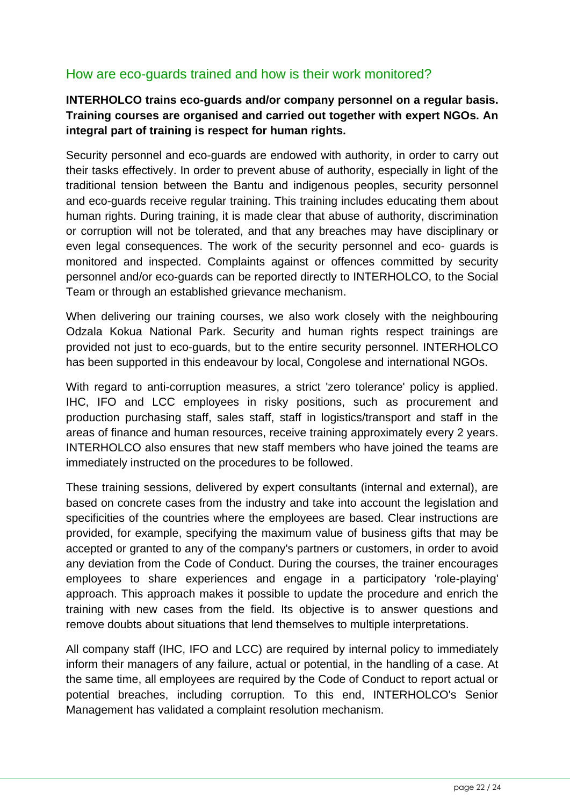## <span id="page-21-0"></span>How are eco-guards trained and how is their work monitored?

### **INTERHOLCO trains eco-guards and/or company personnel on a regular basis. Training courses are organised and carried out together with expert NGOs. An integral part of training is respect for human rights.**

Security personnel and eco-guards are endowed with authority, in order to carry out their tasks effectively. In order to prevent abuse of authority, especially in light of the traditional tension between the Bantu and indigenous peoples, security personnel and eco-guards receive regular training. This training includes educating them about human rights. During training, it is made clear that abuse of authority, discrimination or corruption will not be tolerated, and that any breaches may have disciplinary or even legal consequences. The work of the security personnel and eco- guards is monitored and inspected. Complaints against or offences committed by security personnel and/or eco-guards can be reported directly to INTERHOLCO, to the Social Team or through an established grievance mechanism.

When delivering our training courses, we also work closely with the neighbouring Odzala Kokua National Park. Security and human rights respect trainings are provided not just to eco-guards, but to the entire security personnel. INTERHOLCO has been supported in this endeavour by local, Congolese and international NGOs.

With regard to anti-corruption measures, a strict 'zero tolerance' policy is applied. IHC, IFO and LCC employees in risky positions, such as procurement and production purchasing staff, sales staff, staff in logistics/transport and staff in the areas of finance and human resources, receive training approximately every 2 years. INTERHOLCO also ensures that new staff members who have joined the teams are immediately instructed on the procedures to be followed.

These training sessions, delivered by expert consultants (internal and external), are based on concrete cases from the industry and take into account the legislation and specificities of the countries where the employees are based. Clear instructions are provided, for example, specifying the maximum value of business gifts that may be accepted or granted to any of the company's partners or customers, in order to avoid any deviation from the Code of Conduct. During the courses, the trainer encourages employees to share experiences and engage in a participatory 'role-playing' approach. This approach makes it possible to update the procedure and enrich the training with new cases from the field. Its objective is to answer questions and remove doubts about situations that lend themselves to multiple interpretations.

All company staff (IHC, IFO and LCC) are required by internal policy to immediately inform their managers of any failure, actual or potential, in the handling of a case. At the same time, all employees are required by the Code of Conduct to report actual or potential breaches, including corruption. To this end, INTERHOLCO's Senior Management has validated a complaint resolution mechanism.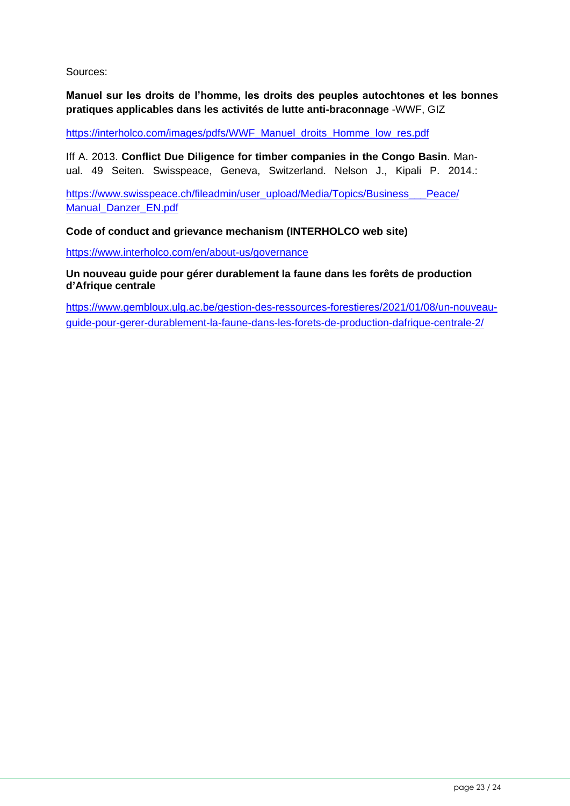Sources:

**Manuel sur les droits de l'homme, les droits des peuples autochtones et les bonnes pratiques applicables dans les activités de lutte anti-braconnage** -WWF, GIZ

[https://interholco.com/images/pdfs/WWF\\_Manuel\\_droits\\_Homme\\_low\\_res.pdf](https://interholco.com/images/pdfs/WWF_Manuel_droits_Homme_low_res.pdf)

Iff A. 2013. **Conflict Due Diligence for timber companies in the Congo Basin**. Manual. 49 Seiten. Swisspeace, Geneva, Switzerland. Nelson J., Kipali P. 2014.:

https://www.swisspeace.ch/fileadmin/user\_upload/Media/Topics/Business\_\_\_Peace/ Manual Danzer EN.pdf

**Code of conduct and grievance mechanism (INTERHOLCO web site)** 

<https://www.interholco.com/en/about-us/governance>

**Un nouveau guide pour gérer durablement la faune dans les forêts de production d'Afrique centrale**

[https://www.gembloux.ulg.ac.be/gestion-des-ressources-forestieres/2021/01/08/un-nouveau](https://www.gembloux.ulg.ac.be/gestion-des-ressources-forestieres/2021/01/08/un-nouveau-guide-pour-gerer-durablement-la-faune-dans-les-forets-de-production-dafrique-centrale-2/)guide-pour-gerer-durablement-la-faune-dans-les-forets-de-production-dafrique-centrale-2/